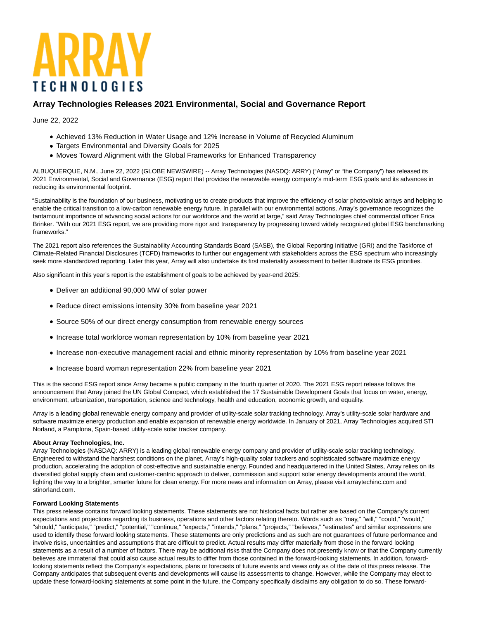

## **Array Technologies Releases 2021 Environmental, Social and Governance Report**

June 22, 2022

- Achieved 13% Reduction in Water Usage and 12% Increase in Volume of Recycled Aluminum
- Targets Environmental and Diversity Goals for 2025
- Moves Toward Alignment with the Global Frameworks for Enhanced Transparency

ALBUQUERQUE, N.M., June 22, 2022 (GLOBE NEWSWIRE) -- Array Technologies (NASDQ: ARRY) ("Array" or "the Company") has released its 2021 Environmental, Social and Governance (ESG) report that provides the renewable energy company's mid-term ESG goals and its advances in reducing its environmental footprint.

"Sustainability is the foundation of our business, motivating us to create products that improve the efficiency of solar photovoltaic arrays and helping to enable the critical transition to a low-carbon renewable energy future. In parallel with our environmental actions, Array's governance recognizes the tantamount importance of advancing social actions for our workforce and the world at large," said Array Technologies chief commercial officer Erica Brinker. "With our 2021 ESG report, we are providing more rigor and transparency by progressing toward widely recognized global ESG benchmarking frameworks."

The 2021 report also references the Sustainability Accounting Standards Board (SASB), the Global Reporting Initiative (GRI) and the Taskforce of Climate-Related Financial Disclosures (TCFD) frameworks to further our engagement with stakeholders across the ESG spectrum who increasingly seek more standardized reporting. Later this year, Array will also undertake its first materiality assessment to better illustrate its ESG priorities.

Also significant in this year's report is the establishment of goals to be achieved by year-end 2025:

- Deliver an additional 90,000 MW of solar power
- Reduce direct emissions intensity 30% from baseline year 2021
- Source 50% of our direct energy consumption from renewable energy sources
- Increase total workforce woman representation by 10% from baseline year 2021
- Increase non-executive management racial and ethnic minority representation by 10% from baseline year 2021
- Increase board woman representation 22% from baseline year 2021

This is the second ESG report since Array became a public company in the fourth quarter of 2020. The 2021 ESG report release follows the announcement that Array joined the UN Global Compact, which established the 17 Sustainable Development Goals that focus on water, energy, environment, urbanization, transportation, science and technology, health and education, economic growth, and equality.

Array is a leading global renewable energy company and provider of utility-scale solar tracking technology. Array's utility-scale solar hardware and software maximize energy production and enable expansion of renewable energy worldwide. In January of 2021, Array Technologies acquired STI Norland, a Pamplona, Spain-based utility-scale solar tracker company.

## **About Array Technologies, Inc.**

Array Technologies (NASDAQ: ARRY) is a leading global renewable energy company and provider of utility-scale solar tracking technology. Engineered to withstand the harshest conditions on the planet, Array's high-quality solar trackers and sophisticated software maximize energy production, accelerating the adoption of cost-effective and sustainable energy. Founded and headquartered in the United States, Array relies on its diversified global supply chain and customer-centric approach to deliver, commission and support solar energy developments around the world, lighting the way to a brighter, smarter future for clean energy. For more news and information on Array, please visit arraytechinc.com and stinorland.com.

## **Forward Looking Statements**

This press release contains forward looking statements. These statements are not historical facts but rather are based on the Company's current expectations and projections regarding its business, operations and other factors relating thereto. Words such as "may," "will," "could," "would," "should," "anticipate," "predict," "potential," "continue," "expects," "intends," "plans," "projects," "believes," "estimates" and similar expressions are used to identify these forward looking statements. These statements are only predictions and as such are not guarantees of future performance and involve risks, uncertainties and assumptions that are difficult to predict. Actual results may differ materially from those in the forward looking statements as a result of a number of factors. There may be additional risks that the Company does not presently know or that the Company currently believes are immaterial that could also cause actual results to differ from those contained in the forward-looking statements. In addition, forwardlooking statements reflect the Company's expectations, plans or forecasts of future events and views only as of the date of this press release. The Company anticipates that subsequent events and developments will cause its assessments to change. However, while the Company may elect to update these forward-looking statements at some point in the future, the Company specifically disclaims any obligation to do so. These forward